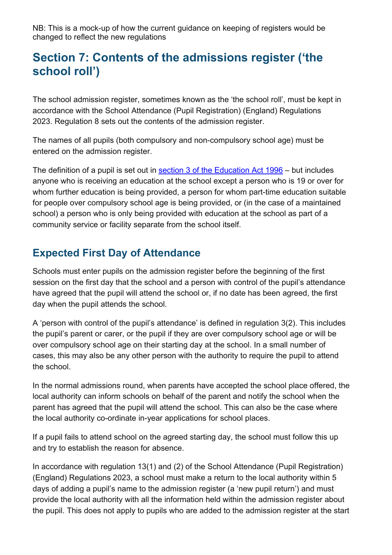NB: This is a mock-up of how the current guidance on keeping of registers would be changed to reflect the new regulations

# **Section 7: Contents of the admissions register ('the school roll')**

The school admission register, sometimes known as the 'the school roll', must be kept in accordance with the School Attendance (Pupil Registration) (England) Regulations 2023. Regulation 8 sets out the contents of the admission register.

The names of all pupils (both compulsory and non-compulsory school age) must be entered on the admission register.

The definition of a pupil is set out in section 3 [of the Education Act 1996](https://www.legislation.gov.uk/ukpga/1996/56/section/3) – but includes anyone who is receiving an education at the school except a person who is 19 or over for whom further education is being provided, a person for whom part-time education suitable for people over compulsory school age is being provided, or (in the case of a maintained school) a person who is only being provided with education at the school as part of a community service or facility separate from the school itself.

# **Expected First Day of Attendance**

Schools must enter pupils on the admission register before the beginning of the first session on the first day that the school and a person with control of the pupil's attendance have agreed that the pupil will attend the school or, if no date has been agreed, the first day when the pupil attends the school.

A 'person with control of the pupil's attendance' is defined in regulation 3(2). This includes the pupil's parent or carer, or the pupil if they are over compulsory school age or will be over compulsory school age on their starting day at the school. In a small number of cases, this may also be any other person with the authority to require the pupil to attend the school.

In the normal admissions round, when parents have accepted the school place offered, the local authority can inform schools on behalf of the parent and notify the school when the parent has agreed that the pupil will attend the school. This can also be the case where the local authority co-ordinate in-year applications for school places.

If a pupil fails to attend school on the agreed starting day, the school must follow this up and try to establish the reason for absence.

In accordance with regulation 13(1) and (2) of the School Attendance (Pupil Registration) (England) Regulations 2023, a school must make a return to the local authority within 5 days of adding a pupil's name to the admission register (a 'new pupil return') and must provide the local authority with all the information held within the admission register about the pupil. This does not apply to pupils who are added to the admission register at the start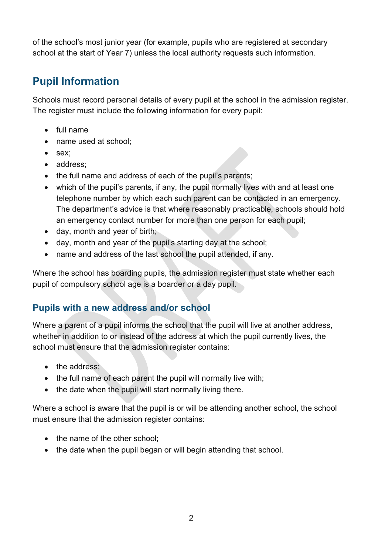of the school's most junior year (for example, pupils who are registered at secondary school at the start of Year 7) unless the local authority requests such information.

# **Pupil Information**

Schools must record personal details of every pupil at the school in the admission register. The register must include the following information for every pupil:

- full name
- name used at school:
- sex;
- address:
- the full name and address of each of the pupil's parents;
- which of the pupil's parents, if any, the pupil normally lives with and at least one telephone number by which each such parent can be contacted in an emergency. The department's advice is that where reasonably practicable, schools should hold an emergency contact number for more than one person for each pupil;
- day, month and year of birth;
- day, month and year of the pupil's starting day at the school;
- name and address of the last school the pupil attended, if any.

Where the school has boarding pupils, the admission register must state whether each pupil of compulsory school age is a boarder or a day pupil.

# **Pupils with a new address and/or school**

Where a parent of a pupil informs the school that the pupil will live at another address, whether in addition to or instead of the address at which the pupil currently lives, the school must ensure that the admission register contains:

- the address:
- the full name of each parent the pupil will normally live with;
- the date when the pupil will start normally living there.

Where a school is aware that the pupil is or will be attending another school, the school must ensure that the admission register contains:

- the name of the other school:
- the date when the pupil began or will begin attending that school.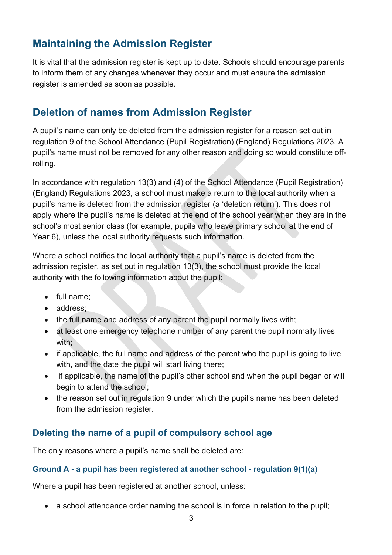# **Maintaining the Admission Register**

It is vital that the admission register is kept up to date. Schools should encourage parents to inform them of any changes whenever they occur and must ensure the admission register is amended as soon as possible.

# **Deletion of names from Admission Register**

A pupil's name can only be deleted from the admission register for a reason set out in regulation 9 of the School Attendance (Pupil Registration) (England) Regulations 2023. A pupil's name must not be removed for any other reason and doing so would constitute offrolling.

In accordance with regulation 13(3) and (4) of the School Attendance (Pupil Registration) (England) Regulations 2023, a school must make a return to the local authority when a pupil's name is deleted from the admission register (a 'deletion return'). This does not apply where the pupil's name is deleted at the end of the school year when they are in the school's most senior class (for example, pupils who leave primary school at the end of Year 6), unless the local authority requests such information.

Where a school notifies the local authority that a pupil's name is deleted from the admission register, as set out in regulation 13(3), the school must provide the local authority with the following information about the pupil:

- full name;
- address:
- the full name and address of any parent the pupil normally lives with;
- at least one emergency telephone number of any parent the pupil normally lives with;
- if applicable, the full name and address of the parent who the pupil is going to live with, and the date the pupil will start living there;
- if applicable, the name of the pupil's other school and when the pupil began or will begin to attend the school;
- the reason set out in regulation 9 under which the pupil's name has been deleted from the admission register.

# **Deleting the name of a pupil of compulsory school age**

The only reasons where a pupil's name shall be deleted are:

#### **Ground A - a pupil has been registered at another school - regulation 9(1)(a)**

Where a pupil has been registered at another school, unless:

• a school attendance order naming the school is in force in relation to the pupil;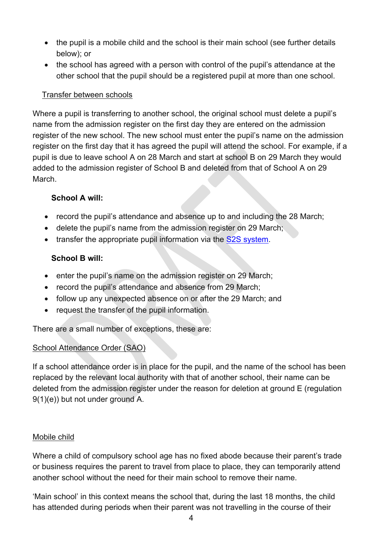- the pupil is a mobile child and the school is their main school (see further details below); or
- the school has agreed with a person with control of the pupil's attendance at the other school that the pupil should be a registered pupil at more than one school.

## Transfer between schools

Where a pupil is transferring to another school, the original school must delete a pupil's name from the admission register on the first day they are entered on the admission register of the new school. The new school must enter the pupil's name on the admission register on the first day that it has agreed the pupil will attend the school. For example, if a pupil is due to leave school A on 28 March and start at school B on 29 March they would added to the admission register of School B and deleted from that of School A on 29 March.

# **School A will:**

- record the pupil's attendance and absence up to and including the 28 March;
- delete the pupil's name from the admission register on 29 March;
- transfer the appropriate pupil information via the [S2S system.](https://www.gov.uk/guidance/school-to-school-service-how-to-transfer-information)

# **School B will:**

- enter the pupil's name on the admission register on 29 March;
- record the pupil's attendance and absence from 29 March;
- follow up any unexpected absence on or after the 29 March; and
- request the transfer of the pupil information.

There are a small number of exceptions, these are:

# School Attendance Order (SAO)

If a school attendance order is in place for the pupil, and the name of the school has been replaced by the relevant local authority with that of another school, their name can be deleted from the admission register under the reason for deletion at ground E (regulation 9(1)(e)) but not under ground A.

# Mobile child

Where a child of compulsory school age has no fixed abode because their parent's trade or business requires the parent to travel from place to place, they can temporarily attend another school without the need for their main school to remove their name.

'Main school' in this context means the school that, during the last 18 months, the child has attended during periods when their parent was not travelling in the course of their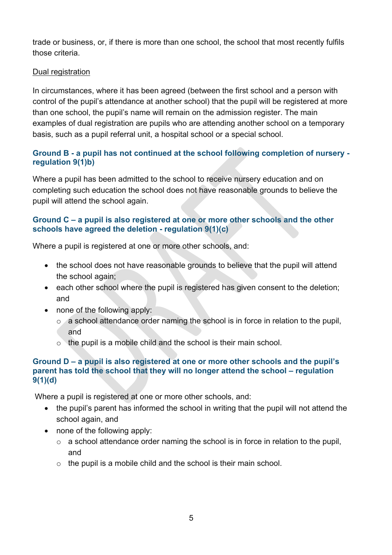trade or business, or, if there is more than one school, the school that most recently fulfils those criteria.

#### Dual registration

In circumstances, where it has been agreed (between the first school and a person with control of the pupil's attendance at another school) that the pupil will be registered at more than one school, the pupil's name will remain on the admission register. The main examples of dual registration are pupils who are attending another school on a temporary basis, such as a pupil referral unit, a hospital school or a special school.

# **Ground B - a pupil has not continued at the school following completion of nursery regulation 9(1)b)**

Where a pupil has been admitted to the school to receive nursery education and on completing such education the school does not have reasonable grounds to believe the pupil will attend the school again.

## **Ground C – a pupil is also registered at one or more other schools and the other schools have agreed the deletion - regulation 9(1)(c)**

Where a pupil is registered at one or more other schools, and:

- the school does not have reasonable grounds to believe that the pupil will attend the school again;
- each other school where the pupil is registered has given consent to the deletion; and
- none of the following apply:
	- $\circ$  a school attendance order naming the school is in force in relation to the pupil, and
	- o the pupil is a mobile child and the school is their main school.

#### **Ground D – a pupil is also registered at one or more other schools and the pupil's parent has told the school that they will no longer attend the school – regulation 9(1)(d)**

Where a pupil is registered at one or more other schools, and:

- the pupil's parent has informed the school in writing that the pupil will not attend the school again, and
- none of the following apply:
	- $\circ$  a school attendance order naming the school is in force in relation to the pupil, and
	- $\circ$  the pupil is a mobile child and the school is their main school.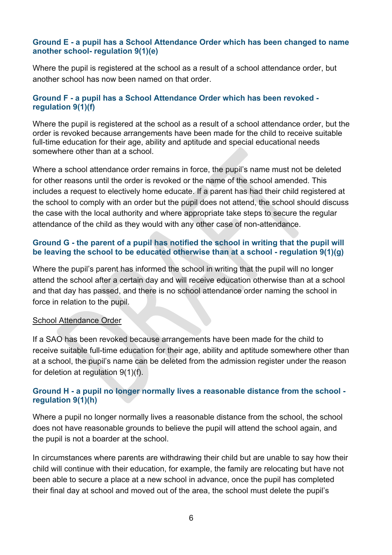#### **Ground E - a pupil has a School Attendance Order which has been changed to name another school- regulation 9(1)(e)**

Where the pupil is registered at the school as a result of a school attendance order, but another school has now been named on that order.

#### **Ground F - a pupil has a School Attendance Order which has been revoked regulation 9(1)(f)**

Where the pupil is registered at the school as a result of a school attendance order, but the order is revoked because arrangements have been made for the child to receive suitable full-time education for their age, ability and aptitude and special educational needs somewhere other than at a school.

Where a school attendance order remains in force, the pupil's name must not be deleted for other reasons until the order is revoked or the name of the school amended. This includes a request to electively home educate. If a parent has had their child registered at the school to comply with an order but the pupil does not attend, the school should discuss the case with the local authority and where appropriate take steps to secure the regular attendance of the child as they would with any other case of non-attendance.

#### **Ground G - the parent of a pupil has notified the school in writing that the pupil will be leaving the school to be educated otherwise than at a school - regulation 9(1)(g)**

Where the pupil's parent has informed the school in writing that the pupil will no longer attend the school after a certain day and will receive education otherwise than at a school and that day has passed, and there is no school attendance order naming the school in force in relation to the pupil.

#### School Attendance Order

If a SAO has been revoked because arrangements have been made for the child to receive suitable full-time education for their age, ability and aptitude somewhere other than at a school, the pupil's name can be deleted from the admission register under the reason for deletion at regulation 9(1)(f).

#### **Ground H - a pupil no longer normally lives a reasonable distance from the school regulation 9(1)(h)**

Where a pupil no longer normally lives a reasonable distance from the school, the school does not have reasonable grounds to believe the pupil will attend the school again, and the pupil is not a boarder at the school.

In circumstances where parents are withdrawing their child but are unable to say how their child will continue with their education, for example, the family are relocating but have not been able to secure a place at a new school in advance, once the pupil has completed their final day at school and moved out of the area, the school must delete the pupil's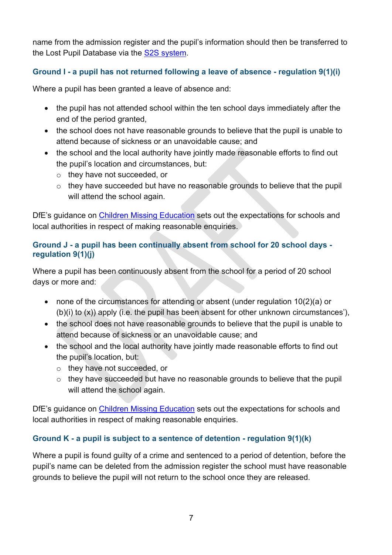name from the admission register and the pupil's information should then be transferred to the Lost Pupil Database via the [S2S system.](https://www.gov.uk/guidance/school-to-school-service-how-to-transfer-information)

# **Ground I - a pupil has not returned following a leave of absence - regulation 9(1)(i)**

Where a pupil has been granted a leave of absence and:

- the pupil has not attended school within the ten school days immediately after the end of the period granted,
- the school does not have reasonable grounds to believe that the pupil is unable to attend because of sickness or an unavoidable cause; and
- the school and the local authority have jointly made reasonable efforts to find out the pupil's location and circumstances, but:
	- o they have not succeeded, or
	- o they have succeeded but have no reasonable grounds to believe that the pupil will attend the school again.

DfE's guidance on [Children Missing Education](https://www.gov.uk/government/publications/children-missing-education) sets out the expectations for schools and local authorities in respect of making reasonable enquiries.

# **Ground J - a pupil has been continually absent from school for 20 school days regulation 9(1)(j)**

Where a pupil has been continuously absent from the school for a period of 20 school days or more and:

- none of the circumstances for attending or absent (under regulation 10(2)(a) or (b)(i) to (x)) apply (i.e. the pupil has been absent for other unknown circumstances'),
- the school does not have reasonable grounds to believe that the pupil is unable to attend because of sickness or an unavoidable cause; and
- the school and the local authority have jointly made reasonable efforts to find out the pupil's location, but:
	- o they have not succeeded, or
	- o they have succeeded but have no reasonable grounds to believe that the pupil will attend the school again.

DfE's guidance on Children Missing Education sets out the expectations for schools and local authorities in respect of making reasonable enquiries.

# **Ground K - a pupil is subject to a sentence of detention - regulation 9(1)(k)**

Where a pupil is found guilty of a crime and sentenced to a period of detention, before the pupil's name can be deleted from the admission register the school must have reasonable grounds to believe the pupil will not return to the school once they are released.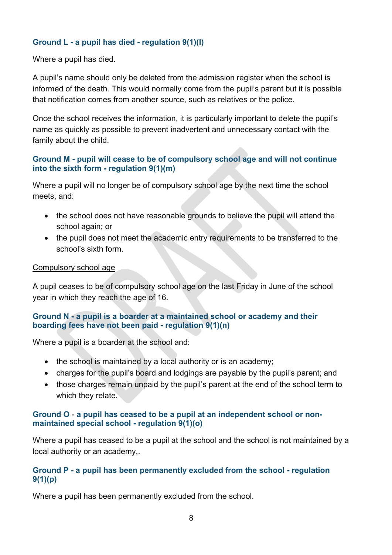## **Ground L - a pupil has died - regulation 9(1)(l)**

Where a pupil has died.

A pupil's name should only be deleted from the admission register when the school is informed of the death. This would normally come from the pupil's parent but it is possible that notification comes from another source, such as relatives or the police.

Once the school receives the information, it is particularly important to delete the pupil's name as quickly as possible to prevent inadvertent and unnecessary contact with the family about the child.

#### **Ground M - pupil will cease to be of compulsory school age and will not continue into the sixth form - regulation 9(1)(m)**

Where a pupil will no longer be of compulsory school age by the next time the school meets, and:

- the school does not have reasonable grounds to believe the pupil will attend the school again; or
- the pupil does not meet the academic entry requirements to be transferred to the school's sixth form.

#### Compulsory school age

A pupil ceases to be of compulsory school age on the last Friday in June of the school year in which they reach the age of 16.

#### **Ground N - a pupil is a boarder at a maintained school or academy and their boarding fees have not been paid - regulation 9(1)(n)**

Where a pupil is a boarder at the school and:

- the school is maintained by a local authority or is an academy;
- charges for the pupil's board and lodgings are payable by the pupil's parent; and
- those charges remain unpaid by the pupil's parent at the end of the school term to which they relate.

#### **Ground O** - **a pupil has ceased to be a pupil at an independent school or nonmaintained special school - regulation 9(1)(o)**

Where a pupil has ceased to be a pupil at the school and the school is not maintained by a local authority or an academy,.

#### **Ground P - a pupil has been permanently excluded from the school - regulation 9(1)(p)**

Where a pupil has been permanently excluded from the school.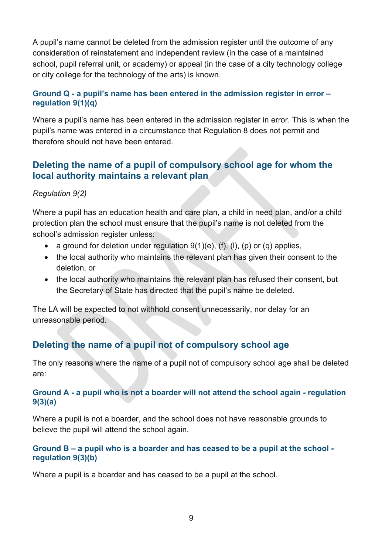A pupil's name cannot be deleted from the admission register until the outcome of any consideration of reinstatement and independent review (in the case of a maintained school, pupil referral unit, or academy) or appeal (in the case of a city technology college or city college for the technology of the arts) is known.

## **Ground Q - a pupil's name has been entered in the admission register in error – regulation 9(1)(q)**

Where a pupil's name has been entered in the admission register in error. This is when the pupil's name was entered in a circumstance that Regulation 8 does not permit and therefore should not have been entered.

# **Deleting the name of a pupil of compulsory school age for whom the local authority maintains a relevant plan**

# *Regulation 9(2)*

Where a pupil has an education health and care plan, a child in need plan, and/or a child protection plan the school must ensure that the pupil's name is not deleted from the school's admission register unless:

- a ground for deletion under regulation  $9(1)(e)$ ,  $(f)$ ,  $(f)$ ,  $(p)$  or  $(q)$  applies,
- the local authority who maintains the relevant plan has given their consent to the deletion, or
- the local authority who maintains the relevant plan has refused their consent, but the Secretary of State has directed that the pupil's name be deleted.

The LA will be expected to not withhold consent unnecessarily, nor delay for an unreasonable period.

# **Deleting the name of a pupil not of compulsory school age**

The only reasons where the name of a pupil not of compulsory school age shall be deleted are:

#### **Ground A - a pupil who is not a boarder will not attend the school again - regulation 9(3)(a)**

Where a pupil is not a boarder, and the school does not have reasonable grounds to believe the pupil will attend the school again.

#### **Ground B – a pupil who is a boarder and has ceased to be a pupil at the school regulation 9(3)(b)**

Where a pupil is a boarder and has ceased to be a pupil at the school.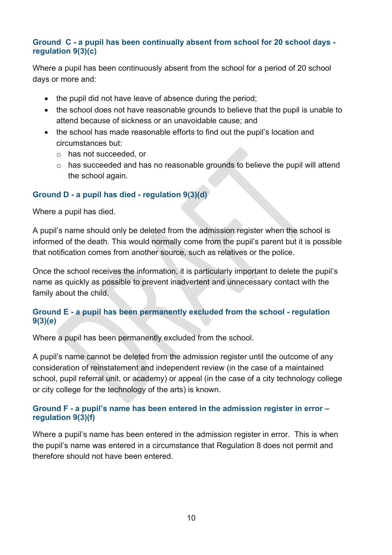#### **Ground C - a pupil has been continually absent from school for 20 school days regulation 9(3)(c)**

Where a pupil has been continuously absent from the school for a period of 20 school days or more and:

- the pupil did not have leave of absence during the period;
- the school does not have reasonable grounds to believe that the pupil is unable to attend because of sickness or an unavoidable cause; and
- the school has made reasonable efforts to find out the pupil's location and circumstances but:
	- o has not succeeded, or
	- o has succeeded and has no reasonable grounds to believe the pupil will attend the school again.

## **Ground D - a pupil has died - regulation 9(3)(d)**

Where a pupil has died.

A pupil's name should only be deleted from the admission register when the school is informed of the death. This would normally come from the pupil's parent but it is possible that notification comes from another source, such as relatives or the police.

Once the school receives the information, it is particularly important to delete the pupil's name as quickly as possible to prevent inadvertent and unnecessary contact with the family about the child.

## **Ground E - a pupil has been permanently excluded from the school - regulation 9(3)(e)**

Where a pupil has been permanently excluded from the school.

A pupil's name cannot be deleted from the admission register until the outcome of any consideration of reinstatement and independent review (in the case of a maintained school, pupil referral unit, or academy) or appeal (in the case of a city technology college or city college for the technology of the arts) is known.

#### **Ground F - a pupil's name has been entered in the admission register in error – regulation 9(3)(f)**

Where a pupil's name has been entered in the admission register in error. This is when the pupil's name was entered in a circumstance that Regulation 8 does not permit and therefore should not have been entered.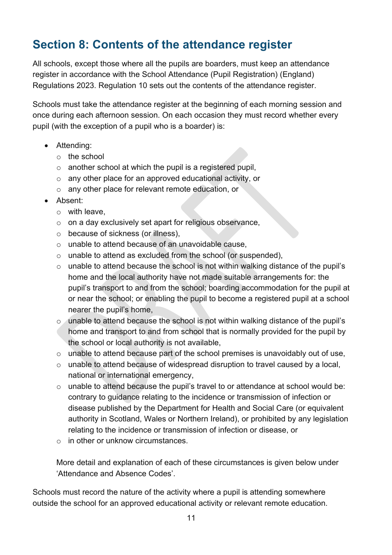# **Section 8: Contents of the attendance register**

All schools, except those where all the pupils are boarders, must keep an attendance register in accordance with the School Attendance (Pupil Registration) (England) Regulations 2023. Regulation 10 sets out the contents of the attendance register.

Schools must take the attendance register at the beginning of each morning session and once during each afternoon session. On each occasion they must record whether every pupil (with the exception of a pupil who is a boarder) is:

- Attending:
	- o the school
	- o another school at which the pupil is a registered pupil,
	- o any other place for an approved educational activity, or
	- o any other place for relevant remote education, or
- Absent:
	- o with leave,
	- o on a day exclusively set apart for religious observance,
	- o because of sickness (or illness),
	- o unable to attend because of an unavoidable cause,
	- o unable to attend as excluded from the school (or suspended),
	- o unable to attend because the school is not within walking distance of the pupil's home and the local authority have not made suitable arrangements for: the pupil's transport to and from the school; boarding accommodation for the pupil at or near the school; or enabling the pupil to become a registered pupil at a school nearer the pupil's home,
	- o unable to attend because the school is not within walking distance of the pupil's home and transport to and from school that is normally provided for the pupil by the school or local authority is not available,
	- o unable to attend because part of the school premises is unavoidably out of use,
	- o unable to attend because of widespread disruption to travel caused by a local, national or international emergency,
	- o unable to attend because the pupil's travel to or attendance at school would be: contrary to guidance relating to the incidence or transmission of infection or disease published by the Department for Health and Social Care (or equivalent authority in Scotland, Wales or Northern Ireland), or prohibited by any legislation relating to the incidence or transmission of infection or disease, or
	- $\circ$  in other or unknow circumstances.

More detail and explanation of each of these circumstances is given below under 'Attendance and Absence Codes'.

Schools must record the nature of the activity where a pupil is attending somewhere outside the school for an approved educational activity or relevant remote education.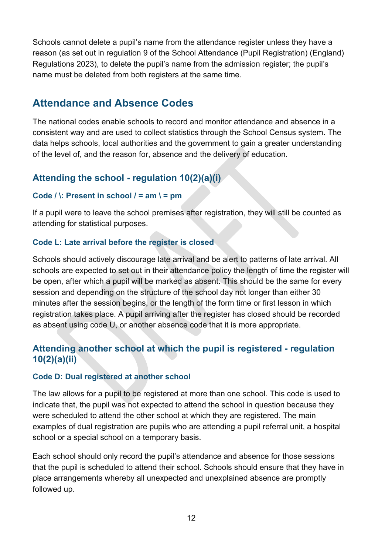Schools cannot delete a pupil's name from the attendance register unless they have a reason (as set out in regulation 9 of the School Attendance (Pupil Registration) (England) Regulations 2023), to delete the pupil's name from the admission register; the pupil's name must be deleted from both registers at the same time.

# **Attendance and Absence Codes**

The national codes enable schools to record and monitor attendance and absence in a consistent way and are used to collect statistics through the School Census system. The data helps schools, local authorities and the government to gain a greater understanding of the level of, and the reason for, absence and the delivery of education.

# **Attending the school - regulation 10(2)(a)(i)**

## **Code / \: Present in school / = am \ = pm**

If a pupil were to leave the school premises after registration, they will still be counted as attending for statistical purposes.

## **Code L: Late arrival before the register is closed**

Schools should actively discourage late arrival and be alert to patterns of late arrival. All schools are expected to set out in their attendance policy the length of time the register will be open, after which a pupil will be marked as absent. This should be the same for every session and depending on the structure of the school day not longer than either 30 minutes after the session begins, or the length of the form time or first lesson in which registration takes place. A pupil arriving after the register has closed should be recorded as absent using code U, or another absence code that it is more appropriate.

# **Attending another school at which the pupil is registered - regulation 10(2)(a)(ii)**

#### **Code D: Dual registered at another school**

The law allows for a pupil to be registered at more than one school. This code is used to indicate that, the pupil was not expected to attend the school in question because they were scheduled to attend the other school at which they are registered. The main examples of dual registration are pupils who are attending a pupil referral unit, a hospital school or a special school on a temporary basis.

Each school should only record the pupil's attendance and absence for those sessions that the pupil is scheduled to attend their school. Schools should ensure that they have in place arrangements whereby all unexpected and unexplained absence are promptly followed up.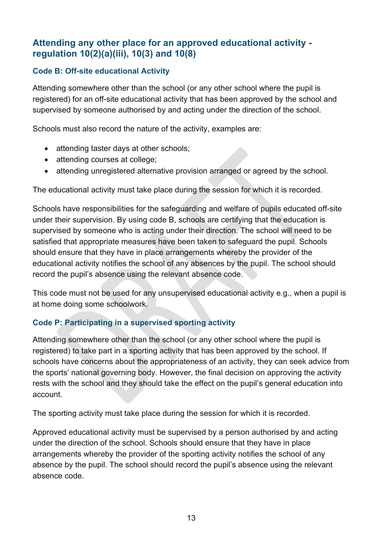# **Attending any other place for an approved educational activity regulation 10(2)(a)(iii), 10(3) and 10(8)**

# **Code B: Off-site educational Activity**

Attending somewhere other than the school (or any other school where the pupil is registered) for an off-site educational activity that has been approved by the school and supervised by someone authorised by and acting under the direction of the school.

Schools must also record the nature of the activity, examples are:

- attending taster days at other schools:
- attending courses at college;
- attending unregistered alternative provision arranged or agreed by the school.

The educational activity must take place during the session for which it is recorded.

Schools have responsibilities for the safeguarding and welfare of pupils educated off-site under their supervision. By using code B, schools are certifying that the education is supervised by someone who is acting under their direction. The school will need to be satisfied that appropriate measures have been taken to safeguard the pupil. Schools should ensure that they have in place arrangements whereby the provider of the educational activity notifies the school of any absences by the pupil. The school should record the pupil's absence using the relevant absence code.

This code must not be used for any unsupervised educational activity e.g., when a pupil is at home doing some schoolwork.

# **Code P: Participating in a supervised sporting activity**

Attending somewhere other than the school (or any other school where the pupil is registered) to take part in a sporting activity that has been approved by the school. If schools have concerns about the appropriateness of an activity, they can seek advice from the sports' national governing body. However, the final decision on approving the activity rests with the school and they should take the effect on the pupil's general education into account.

The sporting activity must take place during the session for which it is recorded.

Approved educational activity must be supervised by a person authorised by and acting under the direction of the school. Schools should ensure that they have in place arrangements whereby the provider of the sporting activity notifies the school of any absence by the pupil. The school should record the pupil's absence using the relevant absence code.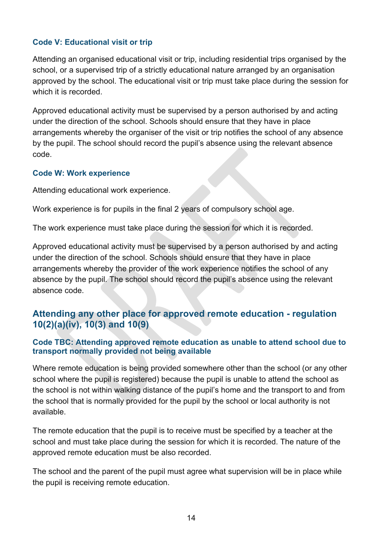## **Code V: Educational visit or trip**

Attending an organised educational visit or trip, including residential trips organised by the school, or a supervised trip of a strictly educational nature arranged by an organisation approved by the school. The educational visit or trip must take place during the session for which it is recorded.

Approved educational activity must be supervised by a person authorised by and acting under the direction of the school. Schools should ensure that they have in place arrangements whereby the organiser of the visit or trip notifies the school of any absence by the pupil. The school should record the pupil's absence using the relevant absence code.

#### **Code W: Work experience**

Attending educational work experience.

Work experience is for pupils in the final 2 years of compulsory school age.

The work experience must take place during the session for which it is recorded.

Approved educational activity must be supervised by a person authorised by and acting under the direction of the school. Schools should ensure that they have in place arrangements whereby the provider of the work experience notifies the school of any absence by the pupil. The school should record the pupil's absence using the relevant absence code.

# **Attending any other place for approved remote education - regulation 10(2)(a)(iv), 10(3) and 10(9)**

#### **Code TBC: Attending approved remote education as unable to attend school due to transport normally provided not being available**

Where remote education is being provided somewhere other than the school (or any other school where the pupil is registered) because the pupil is unable to attend the school as the school is not within walking distance of the pupil's home and the transport to and from the school that is normally provided for the pupil by the school or local authority is not available.

The remote education that the pupil is to receive must be specified by a teacher at the school and must take place during the session for which it is recorded. The nature of the approved remote education must be also recorded.

The school and the parent of the pupil must agree what supervision will be in place while the pupil is receiving remote education.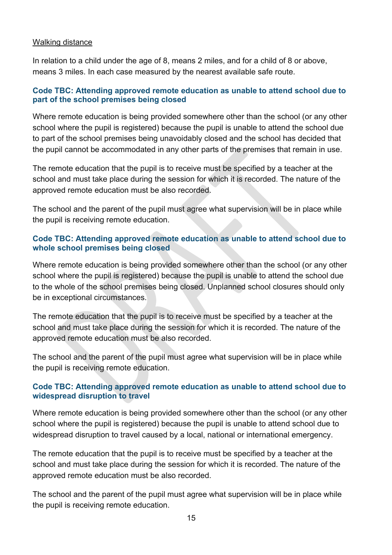#### Walking distance

In relation to a child under the age of 8, means 2 miles, and for a child of 8 or above, means 3 miles. In each case measured by the nearest available safe route.

#### **Code TBC: Attending approved remote education as unable to attend school due to part of the school premises being closed**

Where remote education is being provided somewhere other than the school (or any other school where the pupil is registered) because the pupil is unable to attend the school due to part of the school premises being unavoidably closed and the school has decided that the pupil cannot be accommodated in any other parts of the premises that remain in use.

The remote education that the pupil is to receive must be specified by a teacher at the school and must take place during the session for which it is recorded. The nature of the approved remote education must be also recorded.

The school and the parent of the pupil must agree what supervision will be in place while the pupil is receiving remote education.

#### **Code TBC: Attending approved remote education as unable to attend school due to whole school premises being closed**

Where remote education is being provided somewhere other than the school (or any other school where the pupil is registered) because the pupil is unable to attend the school due to the whole of the school premises being closed. Unplanned school closures should only be in exceptional circumstances.

The remote education that the pupil is to receive must be specified by a teacher at the school and must take place during the session for which it is recorded. The nature of the approved remote education must be also recorded.

The school and the parent of the pupil must agree what supervision will be in place while the pupil is receiving remote education.

#### **Code TBC: Attending approved remote education as unable to attend school due to widespread disruption to travel**

Where remote education is being provided somewhere other than the school (or any other school where the pupil is registered) because the pupil is unable to attend school due to widespread disruption to travel caused by a local, national or international emergency.

The remote education that the pupil is to receive must be specified by a teacher at the school and must take place during the session for which it is recorded. The nature of the approved remote education must be also recorded.

The school and the parent of the pupil must agree what supervision will be in place while the pupil is receiving remote education.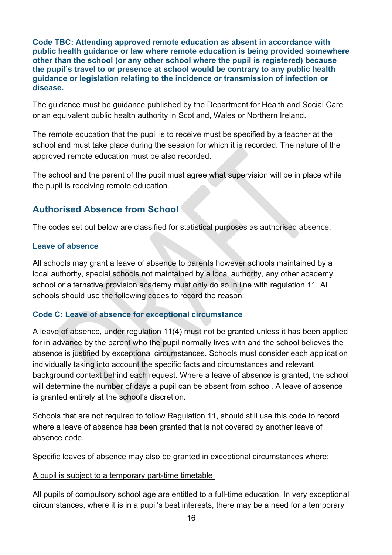**Code TBC: Attending approved remote education as absent in accordance with public health guidance or law where remote education is being provided somewhere other than the school (or any other school where the pupil is registered) because the pupil's travel to or presence at school would be contrary to any public health guidance or legislation relating to the incidence or transmission of infection or disease.**

The guidance must be guidance published by the Department for Health and Social Care or an equivalent public health authority in Scotland, Wales or Northern Ireland.

The remote education that the pupil is to receive must be specified by a teacher at the school and must take place during the session for which it is recorded. The nature of the approved remote education must be also recorded.

The school and the parent of the pupil must agree what supervision will be in place while the pupil is receiving remote education.

# **Authorised Absence from School**

The codes set out below are classified for statistical purposes as authorised absence:

## **Leave of absence**

All schools may grant a leave of absence to parents however schools maintained by a local authority, special schools not maintained by a local authority, any other academy school or alternative provision academy must only do so in line with regulation 11. All schools should use the following codes to record the reason:

# **Code C: Leave of absence for exceptional circumstance**

A leave of absence, under regulation 11(4) must not be granted unless it has been applied for in advance by the parent who the pupil normally lives with and the school believes the absence is justified by exceptional circumstances. Schools must consider each application individually taking into account the specific facts and circumstances and relevant background context behind each request. Where a leave of absence is granted, the school will determine the number of days a pupil can be absent from school. A leave of absence is granted entirely at the school's discretion.

Schools that are not required to follow Regulation 11, should still use this code to record where a leave of absence has been granted that is not covered by another leave of absence code.

Specific leaves of absence may also be granted in exceptional circumstances where:

#### A pupil is subject to a temporary part-time timetable

All pupils of compulsory school age are entitled to a full-time education. In very exceptional circumstances, where it is in a pupil's best interests, there may be a need for a temporary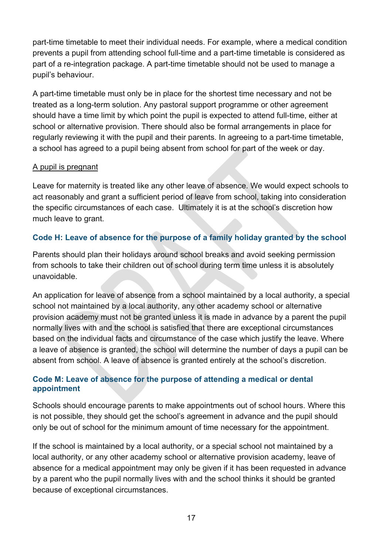part-time timetable to meet their individual needs. For example, where a medical condition prevents a pupil from attending school full-time and a part-time timetable is considered as part of a re-integration package. A part-time timetable should not be used to manage a pupil's behaviour.

A part-time timetable must only be in place for the shortest time necessary and not be treated as a long-term solution. Any pastoral support programme or other agreement should have a time limit by which point the pupil is expected to attend full-time, either at school or alternative provision. There should also be formal arrangements in place for regularly reviewing it with the pupil and their parents. In agreeing to a part-time timetable, a school has agreed to a pupil being absent from school for part of the week or day.

## A pupil is pregnant

Leave for maternity is treated like any other leave of absence. We would expect schools to act reasonably and grant a sufficient period of leave from school, taking into consideration the specific circumstances of each case. Ultimately it is at the school's discretion how much leave to grant.

# **Code H: Leave of absence for the purpose of a family holiday granted by the school**

Parents should plan their holidays around school breaks and avoid seeking permission from schools to take their children out of school during term time unless it is absolutely unavoidable.

An application for leave of absence from a school maintained by a local authority, a special school not maintained by a local authority, any other academy school or alternative provision academy must not be granted unless it is made in advance by a parent the pupil normally lives with and the school is satisfied that there are exceptional circumstances based on the individual facts and circumstance of the case which justify the leave. Where a leave of absence is granted, the school will determine the number of days a pupil can be absent from school. A leave of absence is granted entirely at the school's discretion.

# **Code M: Leave of absence for the purpose of attending a medical or dental appointment**

Schools should encourage parents to make appointments out of school hours. Where this is not possible, they should get the school's agreement in advance and the pupil should only be out of school for the minimum amount of time necessary for the appointment.

If the school is maintained by a local authority, or a special school not maintained by a local authority, or any other academy school or alternative provision academy, leave of absence for a medical appointment may only be given if it has been requested in advance by a parent who the pupil normally lives with and the school thinks it should be granted because of exceptional circumstances.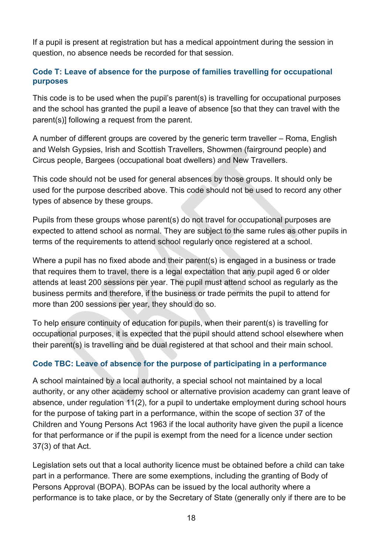If a pupil is present at registration but has a medical appointment during the session in question, no absence needs be recorded for that session.

## **Code T: Leave of absence for the purpose of families travelling for occupational purposes**

This code is to be used when the pupil's parent(s) is travelling for occupational purposes and the school has granted the pupil a leave of absence [so that they can travel with the parent(s)] following a request from the parent.

A number of different groups are covered by the generic term traveller – Roma, English and Welsh Gypsies, Irish and Scottish Travellers, Showmen (fairground people) and Circus people, Bargees (occupational boat dwellers) and New Travellers.

This code should not be used for general absences by those groups. It should only be used for the purpose described above. This code should not be used to record any other types of absence by these groups.

Pupils from these groups whose parent(s) do not travel for occupational purposes are expected to attend school as normal. They are subject to the same rules as other pupils in terms of the requirements to attend school regularly once registered at a school.

Where a pupil has no fixed abode and their parent(s) is engaged in a business or trade that requires them to travel, there is a legal expectation that any pupil aged 6 or older attends at least 200 sessions per year. The pupil must attend school as regularly as the business permits and therefore, if the business or trade permits the pupil to attend for more than 200 sessions per year, they should do so.

To help ensure continuity of education for pupils, when their parent(s) is travelling for occupational purposes, it is expected that the pupil should attend school elsewhere when their parent(s) is travelling and be dual registered at that school and their main school.

# **Code TBC: Leave of absence for the purpose of participating in a performance**

A school maintained by a local authority, a special school not maintained by a local authority, or any other academy school or alternative provision academy can grant leave of absence, under regulation 11(2), for a pupil to undertake employment during school hours for the purpose of taking part in a performance, within the scope of section 37 of the Children and Young Persons Act 1963 if the local authority have given the pupil a licence for that performance or if the pupil is exempt from the need for a licence under section 37(3) of that Act.

Legislation sets out that a local authority licence must be obtained before a child can take part in a performance. There are some exemptions, including the granting of Body of Persons Approval (BOPA). BOPAs can be issued by the local authority where a performance is to take place, or by the Secretary of State (generally only if there are to be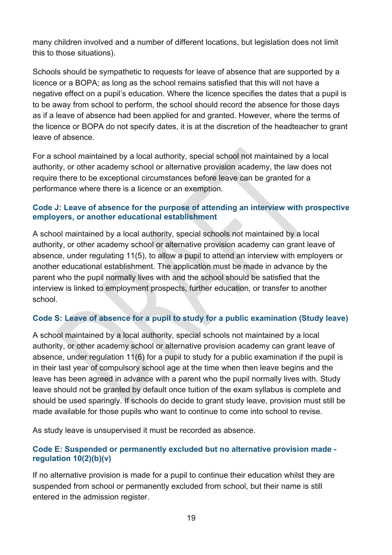many children involved and a number of different locations, but legislation does not limit this to those situations).

Schools should be sympathetic to requests for leave of absence that are supported by a licence or a BOPA; as long as the school remains satisfied that this will not have a negative effect on a pupil's education. Where the licence specifies the dates that a pupil is to be away from school to perform, the school should record the absence for those days as if a leave of absence had been applied for and granted. However, where the terms of the licence or BOPA do not specify dates, it is at the discretion of the headteacher to grant leave of absence.

For a school maintained by a local authority, special school not maintained by a local authority, or other academy school or alternative provision academy, the law does not require there to be exceptional circumstances before leave can be granted for a performance where there is a licence or an exemption.

#### **Code J: Leave of absence for the purpose of attending an interview with prospective employers, or another educational establishment**

A school maintained by a local authority, special schools not maintained by a local authority, or other academy school or alternative provision academy can grant leave of absence, under regulating 11(5), to allow a pupil to attend an interview with employers or another educational establishment. The application must be made in advance by the parent who the pupil normally lives with and the school should be satisfied that the interview is linked to employment prospects, further education, or transfer to another school.

# **Code S: Leave of absence for a pupil to study for a public examination (Study leave)**

A school maintained by a local authority, special schools not maintained by a local authority, or other academy school or alternative provision academy can grant leave of absence, under regulation 11(6) for a pupil to study for a public examination if the pupil is in their last year of compulsory school age at the time when then leave begins and the leave has been agreed in advance with a parent who the pupil normally lives with. Study leave should not be granted by default once tuition of the exam syllabus is complete and should be used sparingly. If schools do decide to grant study leave, provision must still be made available for those pupils who want to continue to come into school to revise.

As study leave is unsupervised it must be recorded as absence.

# **Code E: Suspended or permanently excluded but no alternative provision made regulation 10(2)(b)(v)**

If no alternative provision is made for a pupil to continue their education whilst they are suspended from school or permanently excluded from school, but their name is still entered in the admission register.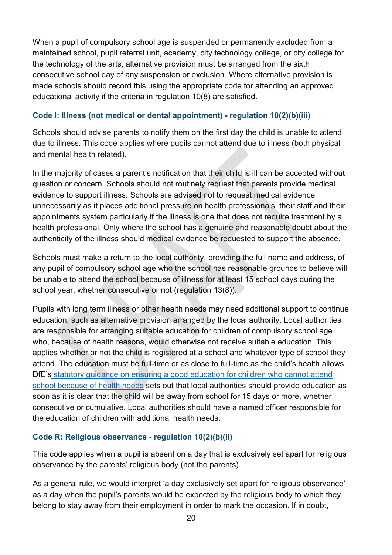When a pupil of compulsory school age is suspended or permanently excluded from a maintained school, pupil referral unit, academy, city technology college, or city college for the technology of the arts, alternative provision must be arranged from the sixth consecutive school day of any suspension or exclusion. Where alternative provision is made schools should record this using the appropriate code for attending an approved educational activity if the criteria in regulation 10(8) are satisfied.

## **Code I: Illness (not medical or dental appointment) - regulation 10(2)(b)(iii)**

Schools should advise parents to notify them on the first day the child is unable to attend due to illness. This code applies where pupils cannot attend due to illness (both physical and mental health related).

In the majority of cases a parent's notification that their child is ill can be accepted without question or concern. Schools should not routinely request that parents provide medical evidence to support illness. Schools are advised not to request medical evidence unnecessarily as it places additional pressure on health professionals, their staff and their appointments system particularly if the illness is one that does not require treatment by a health professional. Only where the school has a genuine and reasonable doubt about the authenticity of the illness should medical evidence be requested to support the absence.

Schools must make a return to the local authority, providing the full name and address, of any pupil of compulsory school age who the school has reasonable grounds to believe will be unable to attend the school because of illness for at least 15 school days during the school year, whether consecutive or not (regulation 13(8)).

Pupils with long term illness or other health needs may need additional support to continue education, such as alternative provision arranged by the local authority. Local authorities are responsible for arranging suitable education for children of compulsory school age who, because of health reasons, would otherwise not receive suitable education. This applies whether or not the child is registered at a school and whatever type of school they attend. The education must be full-time or as close to full-time as the child's health allows. DfE's [statutory guidance on ensuring a good education for children who cannot attend](https://www.gov.uk/government/publications/education-for-children-with-health-needs-who-cannot-attend-school)  [school because of health needs](https://www.gov.uk/government/publications/education-for-children-with-health-needs-who-cannot-attend-school) sets out that local authorities should provide education as soon as it is clear that the child will be away from school for 15 days or more, whether consecutive or cumulative. Local authorities should have a named officer responsible for the education of children with additional health needs.

# **Code R: Religious observance - regulation 10(2)(b)(ii)**

This code applies when a pupil is absent on a day that is exclusively set apart for religious observance by the parents' religious body (not the parents).

As a general rule, we would interpret 'a day exclusively set apart for religious observance' as a day when the pupil's parents would be expected by the religious body to which they belong to stay away from their employment in order to mark the occasion. If in doubt,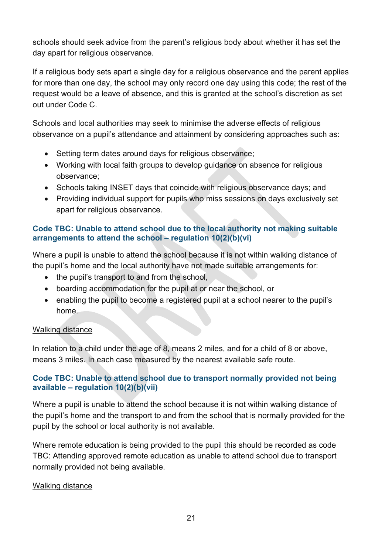schools should seek advice from the parent's religious body about whether it has set the day apart for religious observance.

If a religious body sets apart a single day for a religious observance and the parent applies for more than one day, the school may only record one day using this code; the rest of the request would be a leave of absence, and this is granted at the school's discretion as set out under Code C.

Schools and local authorities may seek to minimise the adverse effects of religious observance on a pupil's attendance and attainment by considering approaches such as:

- Setting term dates around days for religious observance;
- Working with local faith groups to develop guidance on absence for religious observance;
- Schools taking INSET days that coincide with religious observance days; and
- Providing individual support for pupils who miss sessions on days exclusively set apart for religious observance.

#### **Code TBC: Unable to attend school due to the local authority not making suitable arrangements to attend the school – regulation 10(2)(b)(vi)**

Where a pupil is unable to attend the school because it is not within walking distance of the pupil's home and the local authority have not made suitable arrangements for:

- the pupil's transport to and from the school,
- boarding accommodation for the pupil at or near the school, or
- enabling the pupil to become a registered pupil at a school nearer to the pupil's home.

#### Walking distance

In relation to a child under the age of 8, means 2 miles, and for a child of 8 or above, means 3 miles. In each case measured by the nearest available safe route.

# **Code TBC: Unable to attend school due to transport normally provided not being available – regulation 10(2)(b)(vii)**

Where a pupil is unable to attend the school because it is not within walking distance of the pupil's home and the transport to and from the school that is normally provided for the pupil by the school or local authority is not available.

Where remote education is being provided to the pupil this should be recorded as code TBC: Attending approved remote education as unable to attend school due to transport normally provided not being available.

# Walking distance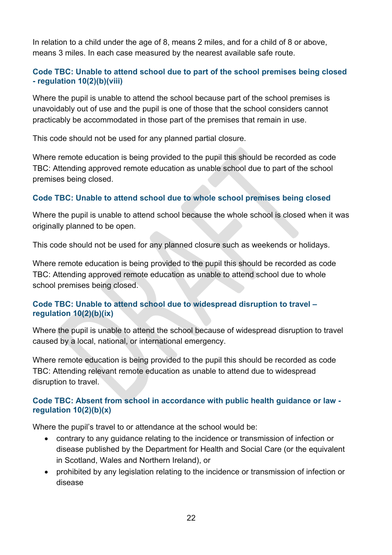In relation to a child under the age of 8, means 2 miles, and for a child of 8 or above, means 3 miles. In each case measured by the nearest available safe route.

## **Code TBC: Unable to attend school due to part of the school premises being closed - regulation 10(2)(b)(viii)**

Where the pupil is unable to attend the school because part of the school premises is unavoidably out of use and the pupil is one of those that the school considers cannot practicably be accommodated in those part of the premises that remain in use.

This code should not be used for any planned partial closure.

Where remote education is being provided to the pupil this should be recorded as code TBC: Attending approved remote education as unable school due to part of the school premises being closed.

## **Code TBC: Unable to attend school due to whole school premises being closed**

Where the pupil is unable to attend school because the whole school is closed when it was originally planned to be open.

This code should not be used for any planned closure such as weekends or holidays.

Where remote education is being provided to the pupil this should be recorded as code TBC: Attending approved remote education as unable to attend school due to whole school premises being closed.

#### **Code TBC: Unable to attend school due to widespread disruption to travel – regulation 10(2)(b)(ix)**

Where the pupil is unable to attend the school because of widespread disruption to travel caused by a local, national, or international emergency.

Where remote education is being provided to the pupil this should be recorded as code TBC: Attending relevant remote education as unable to attend due to widespread disruption to travel.

## **Code TBC: Absent from school in accordance with public health guidance or law regulation 10(2)(b)(x)**

Where the pupil's travel to or attendance at the school would be:

- contrary to any guidance relating to the incidence or transmission of infection or disease published by the Department for Health and Social Care (or the equivalent in Scotland, Wales and Northern Ireland), or
- prohibited by any legislation relating to the incidence or transmission of infection or disease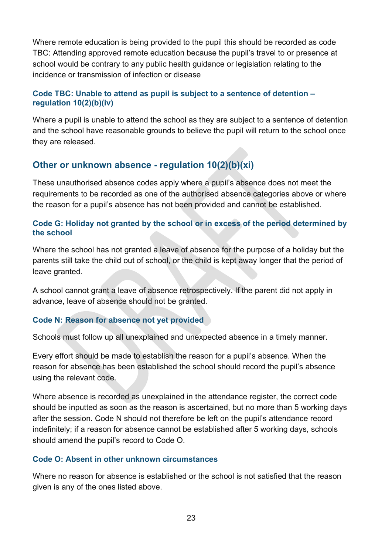Where remote education is being provided to the pupil this should be recorded as code TBC: Attending approved remote education because the pupil's travel to or presence at school would be contrary to any public health guidance or legislation relating to the incidence or transmission of infection or disease

#### **Code TBC: Unable to attend as pupil is subject to a sentence of detention – regulation 10(2)(b)(iv)**

Where a pupil is unable to attend the school as they are subject to a sentence of detention and the school have reasonable grounds to believe the pupil will return to the school once they are released.

# **Other or unknown absence - regulation 10(2)(b)(xi)**

These unauthorised absence codes apply where a pupil's absence does not meet the requirements to be recorded as one of the authorised absence categories above or where the reason for a pupil's absence has not been provided and cannot be established.

#### **Code G: Holiday not granted by the school or in excess of the period determined by the school**

Where the school has not granted a leave of absence for the purpose of a holiday but the parents still take the child out of school, or the child is kept away longer that the period of leave granted.

A school cannot grant a leave of absence retrospectively. If the parent did not apply in advance, leave of absence should not be granted.

#### **Code N: Reason for absence not yet provided**

Schools must follow up all unexplained and unexpected absence in a timely manner.

Every effort should be made to establish the reason for a pupil's absence. When the reason for absence has been established the school should record the pupil's absence using the relevant code.

Where absence is recorded as unexplained in the attendance register, the correct code should be inputted as soon as the reason is ascertained, but no more than 5 working days after the session. Code N should not therefore be left on the pupil's attendance record indefinitely; if a reason for absence cannot be established after 5 working days, schools should amend the pupil's record to Code O.

#### **Code O: Absent in other unknown circumstances**

Where no reason for absence is established or the school is not satisfied that the reason given is any of the ones listed above.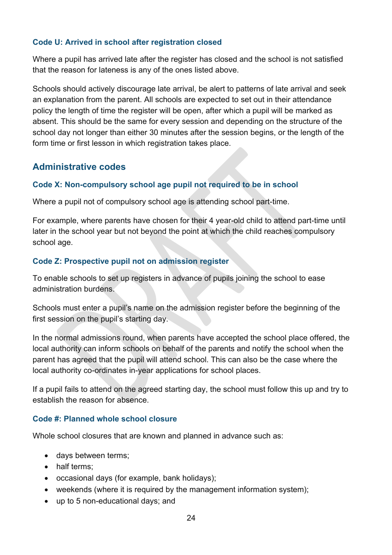## **Code U: Arrived in school after registration closed**

Where a pupil has arrived late after the register has closed and the school is not satisfied that the reason for lateness is any of the ones listed above.

Schools should actively discourage late arrival, be alert to patterns of late arrival and seek an explanation from the parent. All schools are expected to set out in their attendance policy the length of time the register will be open, after which a pupil will be marked as absent. This should be the same for every session and depending on the structure of the school day not longer than either 30 minutes after the session begins, or the length of the form time or first lesson in which registration takes place.

# **Administrative codes**

## **Code X: Non-compulsory school age pupil not required to be in school**

Where a pupil not of compulsory school age is attending school part-time.

For example, where parents have chosen for their 4 year-old child to attend part-time until later in the school year but not beyond the point at which the child reaches compulsory school age.

## **Code Z: Prospective pupil not on admission register**

To enable schools to set up registers in advance of pupils joining the school to ease administration burdens.

Schools must enter a pupil's name on the admission register before the beginning of the first session on the pupil's starting day.

In the normal admissions round, when parents have accepted the school place offered, the local authority can inform schools on behalf of the parents and notify the school when the parent has agreed that the pupil will attend school. This can also be the case where the local authority co-ordinates in-year applications for school places.

If a pupil fails to attend on the agreed starting day, the school must follow this up and try to establish the reason for absence.

#### **Code #: Planned whole school closure**

Whole school closures that are known and planned in advance such as:

- days between terms;
- half terms;
- occasional days (for example, bank holidays);
- weekends (where it is required by the management information system);
- up to 5 non-educational days; and